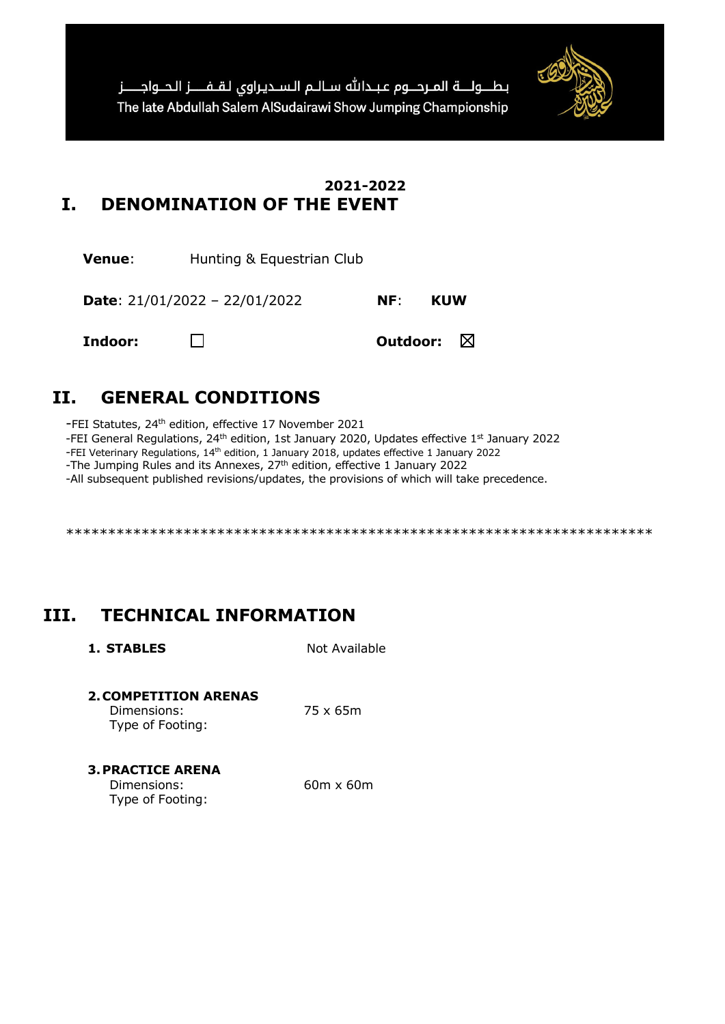

## **2021-2022 I. DENOMINATION OF THE EVENT**

**Venue:** Hunting & Equestrian Club

**Date**: 21/01/2022 – 22/01/2022 **NF**: **KUW**

**Indoor: Outdoor:** ⊠

# **II. GENERAL CONDITIONS**

-FEI Statutes, 24th edition, effective 17 November 2021

-FEI General Regulations, 24<sup>th</sup> edition, 1st January 2020, Updates effective 1<sup>st</sup> January 2022

-FEI Veterinary Regulations, 14th edition, 1 January 2018, updates effective 1 January 2022

-The Jumping Rules and its Annexes, 27<sup>th</sup> edition, effective 1 January 2022

-All subsequent published revisions/updates, the provisions of which will take precedence.

\*\*\*\*\*\*\*\*\*\*\*\*\*\*\*\*\*\*\*\*\*\*\*\*\*\*\*\*\*\*\*\*\*\*\*\*\*\*\*\*\*\*\*\*\*\*\*\*\*\*\*\*\*\*\*\*\*\*\*\*\*\*\*\*\*\*\*\*\*\*

# **III. TECHNICAL INFORMATION**

**1. STABLES** Not Available

### **2.COMPETITION ARENAS**

Dimensions: 75 x 65m Type of Footing:

**3.PRACTICE ARENA**

| Dimensions:      | $60m \times 60m$ |
|------------------|------------------|
| Type of Footing: |                  |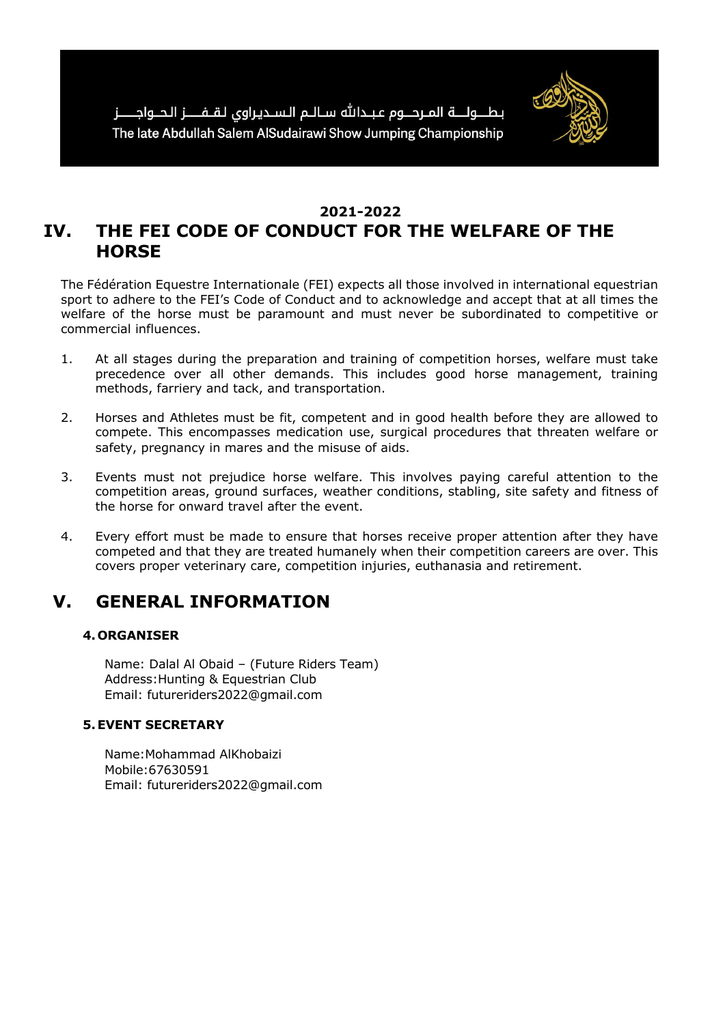

## **2021-2022 IV. THE FEI CODE OF CONDUCT FOR THE WELFARE OF THE HORSE**

The Fédération Equestre Internationale (FEI) expects all those involved in international equestrian sport to adhere to the FEI's Code of Conduct and to acknowledge and accept that at all times the welfare of the horse must be paramount and must never be subordinated to competitive or commercial influences.

- 1. At all stages during the preparation and training of competition horses, welfare must take precedence over all other demands. This includes good horse management, training methods, farriery and tack, and transportation.
- 2. Horses and Athletes must be fit, competent and in good health before they are allowed to compete. This encompasses medication use, surgical procedures that threaten welfare or safety, pregnancy in mares and the misuse of aids.
- 3. Events must not prejudice horse welfare. This involves paying careful attention to the competition areas, ground surfaces, weather conditions, stabling, site safety and fitness of the horse for onward travel after the event.
- 4. Every effort must be made to ensure that horses receive proper attention after they have competed and that they are treated humanely when their competition careers are over. This covers proper veterinary care, competition injuries, euthanasia and retirement.

# **V. GENERAL INFORMATION**

### **4.ORGANISER**

Name: Dalal Al Obaid – (Future Riders Team) Address:Hunting & Equestrian Club Email: futureriders2022@gmail.com

### **5.EVENT SECRETARY**

Name:Mohammad AlKhobaizi Mobile:67630591 Email: futureriders2022@gmail.com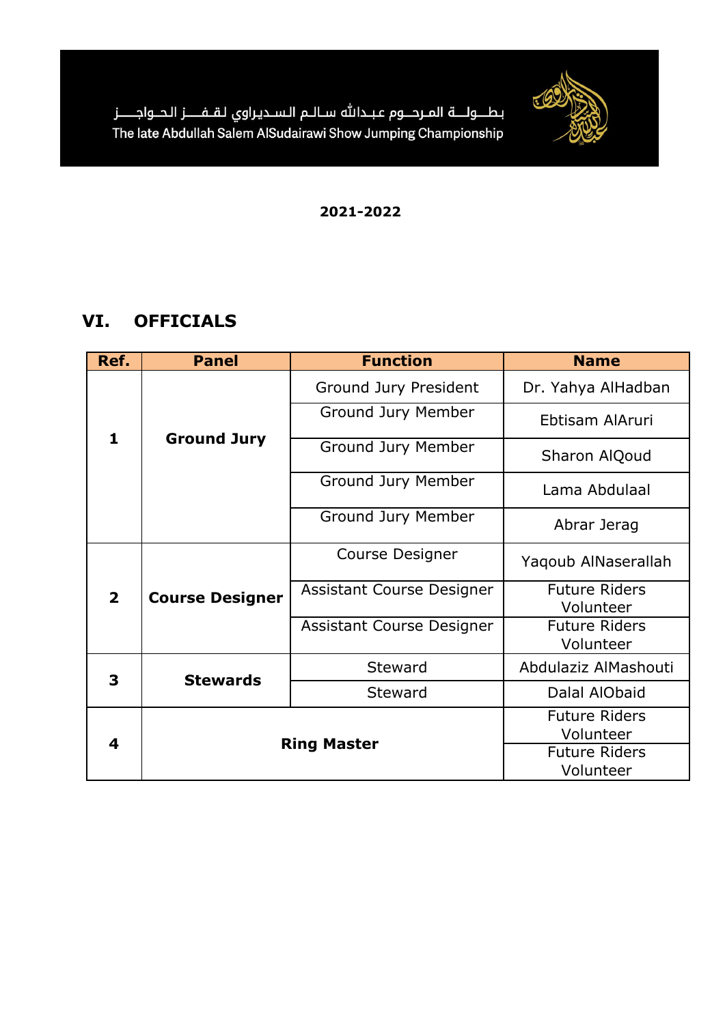

# **VI. OFFICIALS**

| Ref.           | <b>Function</b><br><b>Panel</b> |                                   | <b>Name</b>                       |  |
|----------------|---------------------------------|-----------------------------------|-----------------------------------|--|
|                |                                 | Ground Jury President             | Dr. Yahya AlHadban                |  |
|                | <b>Ground Jury</b>              | Ground Jury Member                | Ebtisam AlAruri                   |  |
| $\mathbf{1}$   |                                 | Ground Jury Member                | Sharon AlQoud                     |  |
|                |                                 | Ground Jury Member                | Lama Abdulaal                     |  |
|                |                                 | Ground Jury Member                | Abrar Jerag                       |  |
| $\overline{2}$ | <b>Course Designer</b>          | <b>Course Designer</b>            | Yaqoub AlNaserallah               |  |
|                |                                 | Assistant Course Designer         | <b>Future Riders</b><br>Volunteer |  |
|                |                                 | Assistant Course Designer         | <b>Future Riders</b><br>Volunteer |  |
|                |                                 | <b>Steward</b>                    | Abdulaziz AlMashouti              |  |
| 3              | <b>Stewards</b>                 | <b>Steward</b>                    | Dalal AlObaid                     |  |
| 4              |                                 |                                   | <b>Future Riders</b><br>Volunteer |  |
|                |                                 | <b>Ring Master</b>                |                                   |  |
|                |                                 | <b>Future Riders</b><br>Volunteer |                                   |  |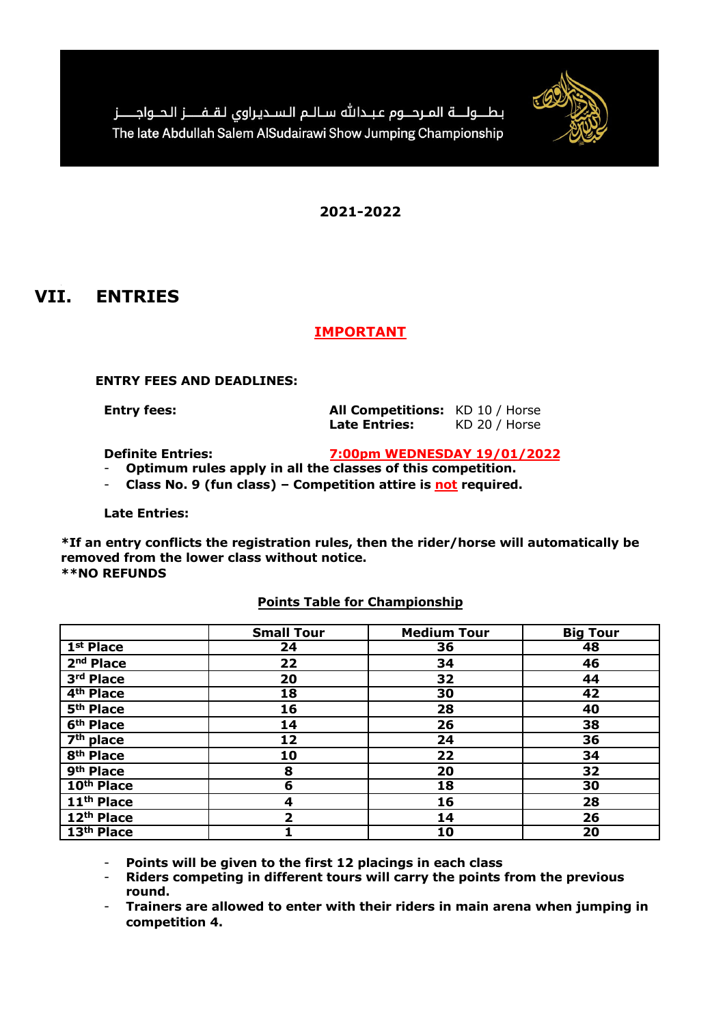

## **VII. ENTRIES**

### **IMPORTANT**

### **ENTRY FEES AND DEADLINES:**

**Entry fees: All Competitions:** KD 10 / Horse Late Entries: KD 20 / Horse

**Definite Entries: 7:00pm WEDNESDAY 19/01/2022**

- **Optimum rules apply in all the classes of this competition.**
- **Class No. 9 (fun class) – Competition attire is not required.**

**Late Entries:**

**\*If an entry conflicts the registration rules, then the rider/horse will automatically be removed from the lower class without notice. \*\*NO REFUNDS**

|                        | <b>Small Tour</b> | <b>Medium Tour</b> | <b>Big Tour</b> |
|------------------------|-------------------|--------------------|-----------------|
| 1 <sup>st</sup> Place  | 24                | 36                 | 48              |
| 2 <sup>nd</sup> Place  | 22                | 34                 | 46              |
| 3rd Place              | 20                | 32                 | 44              |
| 4 <sup>th</sup> Place  | 18                | 30                 | 42              |
| 5 <sup>th</sup> Place  | 16                | 28                 | 40              |
| 6 <sup>th</sup> Place  | 14                | 26                 | 38              |
| $7th$ place            | 12                | 24                 | 36              |
| 8 <sup>th</sup> Place  | 10                | 22                 | 34              |
| 9 <sup>th</sup> Place  | 8                 | 20                 | 32              |
| 10 <sup>th</sup> Place | 6                 | 18                 | 30              |
| 11 <sup>th</sup> Place | 4                 | 16                 | 28              |
| 12 <sup>th</sup> Place | $\overline{2}$    | 14                 | 26              |
| 13th Place             |                   | 10                 | 20              |

### **Points Table for Championship**

- **Points will be given to the first 12 placings in each class**

- **Riders competing in different tours will carry the points from the previous round.**

- **Trainers are allowed to enter with their riders in main arena when jumping in competition 4.**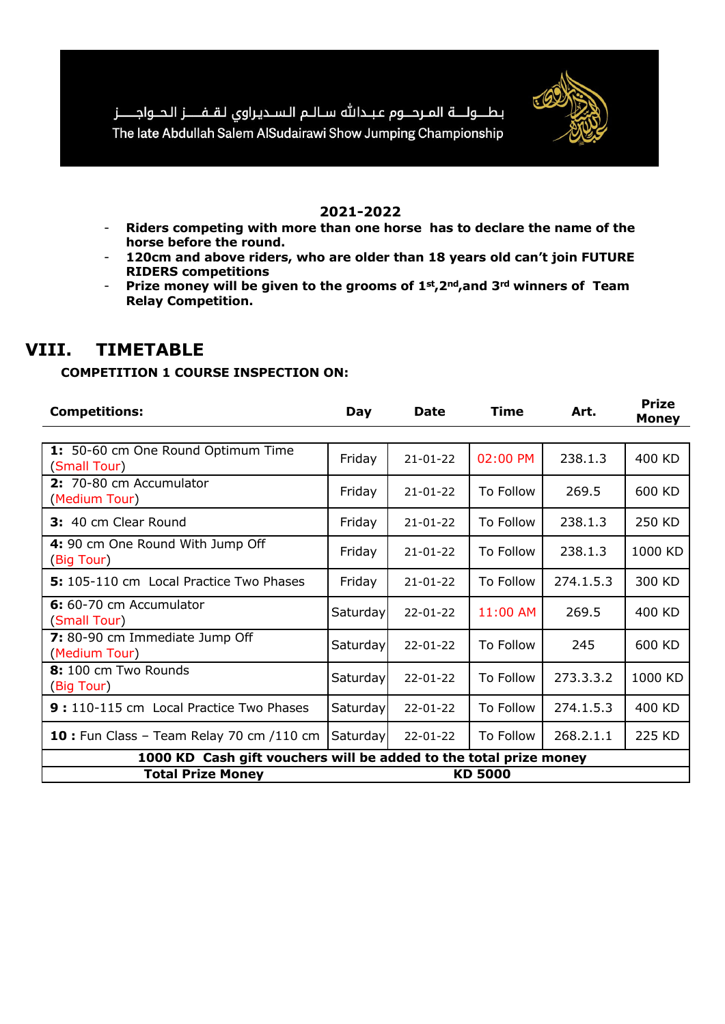

- **Riders competing with more than one horse has to declare the name of the horse before the round.**
- **120cm and above riders, who are older than 18 years old can't join FUTURE RIDERS competitions**
- **Prize money will be given to the grooms of 1st,2nd,and 3rd winners of Team Relay Competition.**

## **VIII. TIMETABLE**

### **COMPETITION 1 COURSE INSPECTION ON:**

| <b>Competitions:</b>                                              | Day             | <b>Date</b>    | <b>Time</b> | Art.      | <b>Prize</b><br><b>Money</b> |  |
|-------------------------------------------------------------------|-----------------|----------------|-------------|-----------|------------------------------|--|
|                                                                   |                 |                |             |           |                              |  |
| 1: 50-60 cm One Round Optimum Time<br>(Small Tour)                | Friday          | $21 - 01 - 22$ | 02:00 PM    | 238.1.3   | 400 KD                       |  |
| 2: 70-80 cm Accumulator<br>(Medium Tour)                          | Friday          | $21 - 01 - 22$ | To Follow   | 269.5     | 600 KD                       |  |
| 3: 40 cm Clear Round                                              | Friday          | $21 - 01 - 22$ | To Follow   | 238.1.3   | 250 KD                       |  |
| 4: 90 cm One Round With Jump Off<br>(Big Tour)                    | Friday          | $21 - 01 - 22$ | To Follow   | 238.1.3   | 1000 KD                      |  |
| 5: 105-110 cm Local Practice Two Phases                           | Friday          | $21 - 01 - 22$ | To Follow   | 274.1.5.3 | 300 KD                       |  |
| 6: 60-70 cm Accumulator<br>(Small Tour)                           | <b>Saturday</b> | 22-01-22       | 11:00 AM    | 269.5     | 400 KD                       |  |
| 7: 80-90 cm Immediate Jump Off<br>(Medium Tour)                   | <b>Saturday</b> | 22-01-22       | To Follow   | 245       | 600 KD                       |  |
| 8: 100 cm Two Rounds<br>(Big Tour)                                | Saturday        | $22 - 01 - 22$ | To Follow   | 273.3.3.2 | 1000 KD                      |  |
| 9: 110-115 cm Local Practice Two Phases                           | Saturday        | $22 - 01 - 22$ | To Follow   | 274.1.5.3 | 400 KD                       |  |
| 10 : Fun Class - Team Relay 70 cm /110 cm                         | Saturday        | $22 - 01 - 22$ | To Follow   | 268.2.1.1 | 225 KD                       |  |
| 1000 KD Cash gift vouchers will be added to the total prize money |                 |                |             |           |                              |  |
| <b>Total Prize Money</b>                                          | <b>KD 5000</b>  |                |             |           |                              |  |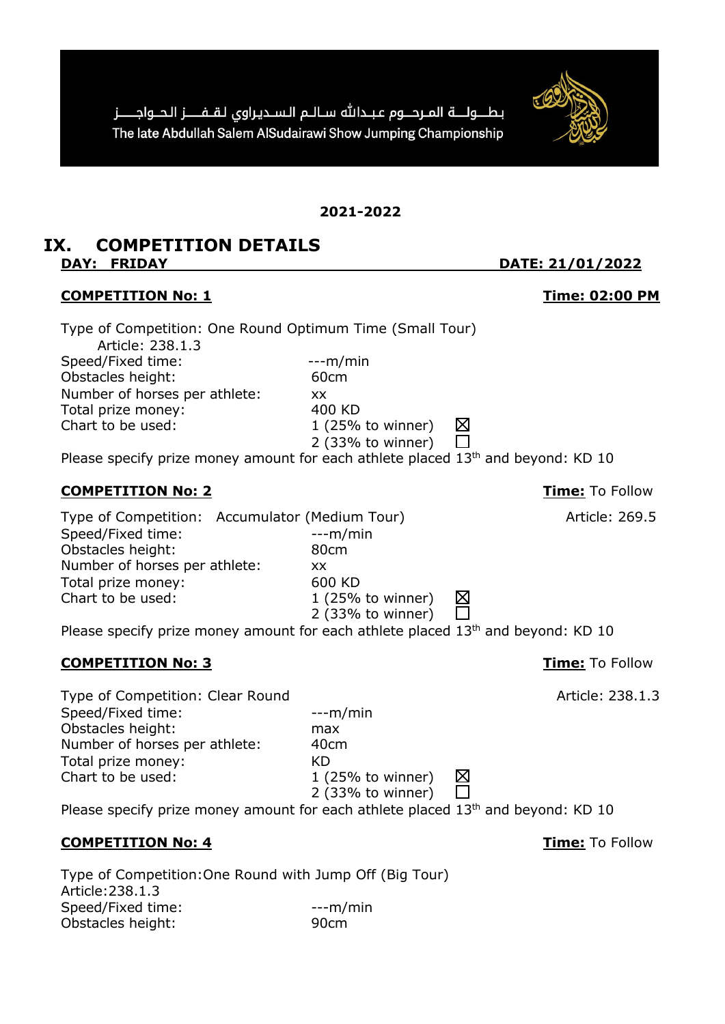بطــولــــة المــردـــوم عبــدالله ســالــم الـســديـراوى لـقــفـــــز الـدــواجـــــز The late Abdullah Salem AlSudairawi Show Jumping Championship

**2021-2022**

### **IX. COMPETITION DETAILS DAY: FRIDAY DATE: 21/01/2022**

### **COMPETITION No: 1 Time: 02:00 PM**

Type of Competition: One Round Optimum Time (Small Tour)

Article: 238.1.3 Speed/Fixed time:  $---m/min$ Obstacles height: 60cm Number of horses per athlete: xx Total prize money: 400 KD Chart to be used: 1 (25% to winner)

Please specify prize money amount for each athlete placed 13<sup>th</sup> and beyond: KD 10

2 (33% to winner)

### **COMPETITION No: 2 Time:** To Follow

Type of Competition: Accumulator (Medium Tour) Article: 269.5 Speed/Fixed time:  $\frac{1}{2}$  ---m/min Obstacles height: 80cm Number of horses per athlete: xx Total prize money: 600 KD Chart to be used: 1 (25% to winner)

Please specify prize money amount for each athlete placed 13<sup>th</sup> and beyond: KD 10

Type of Competition: Clear Round Type of Competition: Clear Round Speed/Fixed time:  $---m/min$ Obstacles height: max Number of horses per athlete: 40cm Total prize money: KD Chart to be used: 1 (25% to winner)

Please specify prize money amount for each athlete placed 13<sup>th</sup> and beyond: KD 10

2 (33% to winner)

### **COMPETITION No: 4 Time:** To Follow

Type of Competition:One Round with Jump Off (Big Tour) Article:238.1.3 Speed/Fixed time:  $---m/min$ Obstacles height: 90cm



**COMPETITION No: 3 Time:** To Follow

区

冈  $\Box$ 

 $\Box$ 

2 (33% to winner)

⋈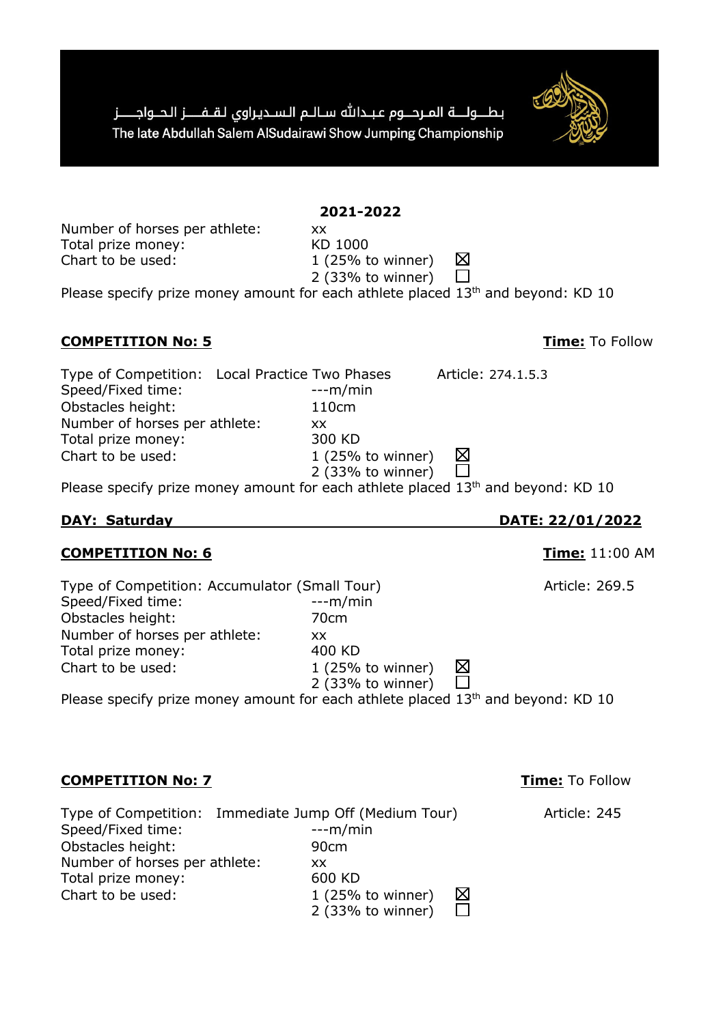بطــولــــة المـردـــوم عبــدالله ســالــم الـســديـراوى لـقــفـــــز الـدــواجـــــز The late Abdullah Salem AlSudairawi Show Jumping Championship

Number of horses per athlete: xx Total prize money: KD 1000 Chart to be used: 1 (25% to winner)

**COMPETITION No: 5 Time:** To Follow

Type of Competition: Local Practice Two Phases Article: 274.1.5.3 Speed/Fixed time:  $---m/min$ Obstacles height: 110cm Number of horses per athlete: xx Total prize money: 300 KD Chart to be used: 1 (25% to winner)

2 (33% to winner) Please specify prize money amount for each athlete placed  $13<sup>th</sup>$  and beyond: KD 10

### **DAY: Saturday DATE: 22/01/2022**

### **COMPETITION No: 6 Time:** 11:00 AM

| Type of Competition: Accumulator (Small Tour)                                                |                          | Article: 269.5 |
|----------------------------------------------------------------------------------------------|--------------------------|----------------|
| Speed/Fixed time:                                                                            | $--m/min$                |                |
| Obstacles height:                                                                            | 70cm                     |                |
| Number of horses per athlete:                                                                | XX.                      |                |
| Total prize money:                                                                           | 400 KD                   |                |
| Chart to be used:                                                                            | ⊠<br>$1$ (25% to winner) |                |
|                                                                                              | 2 (33% to winner)        |                |
| Please specify prize money amount for each athlete placed 13 <sup>th</sup> and beyond: KD 10 |                          |                |

### **COMPETITION No: 7 Time:** To Follow

| Type of Competition: Immediate Jump Off (Medium Tour) |                   |   | Article: 245 |
|-------------------------------------------------------|-------------------|---|--------------|
| Speed/Fixed time:                                     | $--m/min$         |   |              |
| Obstacles height:                                     | 90cm              |   |              |
| Number of horses per athlete:                         | xх                |   |              |
| Total prize money:                                    | 600 KD            |   |              |
| Chart to be used:                                     | 1 (25% to winner) | ⊠ |              |
|                                                       | 2 (33% to winner) |   |              |

## **2021-2022**

2 (33% to winner)

⊠

 $\Box$ Please specify prize money amount for each athlete placed 13<sup>th</sup> and beyond: KD 10

⊠ 帀

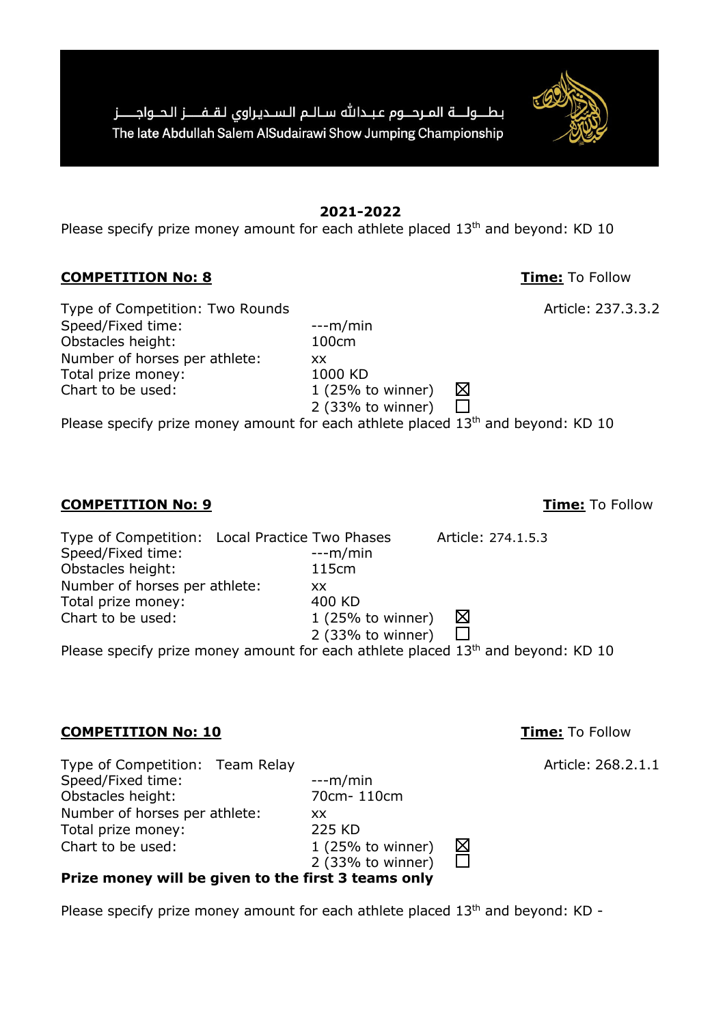**2021-2022** Please specify prize money amount for each athlete placed 13<sup>th</sup> and beyond: KD 10

2 (33% to winner)

⊠  $\Box$ 

 $\frac{\boxtimes}{\square}$ 

### **COMPETITION No: 8 Time:** To Follow

Type of Competition: Two Rounds **Article: 237.3.3.2** Article: 237.3.3.2 Speed/Fixed time:  $\frac{1}{2}$  ---m/min Obstacles height: 100cm Number of horses per athlete: xx Total prize money: 1000 KD Chart to be used: 1 (25% to winner)

**COMPETITION No: 9 Time:** To Follow

Type of Competition: Local Practice Two Phases Article: 274.1.5.3 Speed/Fixed time:  $---m/min$ Obstacles height: 115cm Number of horses per athlete: xx Total prize money: 400 KD Chart to be used: 1 (25% to winner) ⊠ 2 (33% to winner)  $\Box$ 

Please specify prize money amount for each athlete placed  $13<sup>th</sup>$  and beyond: KD 10

Please specify prize money amount for each athlete placed  $13<sup>th</sup>$  and beyond: KD 10

### **COMPETITION No: 10 Time:** To Follow

Type of Competition: Team Relay and the control of Competition: Team Relay Speed/Fixed time:  $\frac{1}{2}$  ---m/min Obstacles height: 70cm- 110cm Number of horses per athlete: xx Total prize money: 225 KD Chart to be used: 1 (25% to winner) 2 (33% to winner)

## **Prize money will be given to the first 3 teams only**

Please specify prize money amount for each athlete placed  $13<sup>th</sup>$  and beyond: KD -

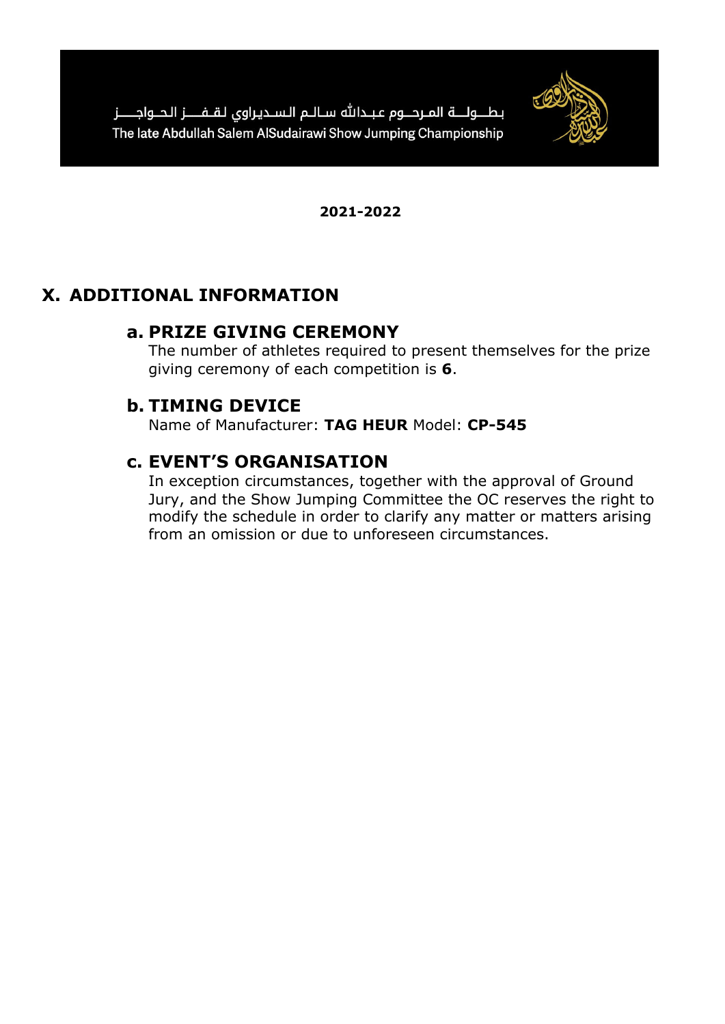

# **X. ADDITIONAL INFORMATION**

# **a. PRIZE GIVING CEREMONY**

The number of athletes required to present themselves for the prize giving ceremony of each competition is **6**.

# **b. TIMING DEVICE**

Name of Manufacturer: **TAG HEUR** Model: **CP-545**

# **c. EVENT'S ORGANISATION**

In exception circumstances, together with the approval of Ground Jury, and the Show Jumping Committee the OC reserves the right to modify the schedule in order to clarify any matter or matters arising from an omission or due to unforeseen circumstances.